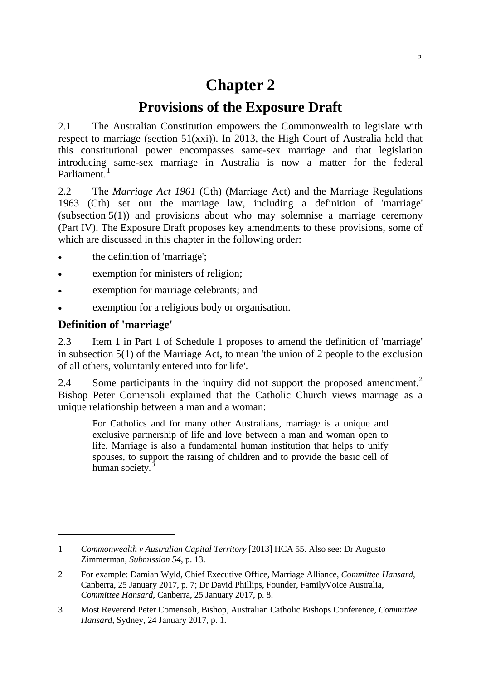# **Chapter 2**

# **Provisions of the Exposure Draft**

2.1 The Australian Constitution empowers the Commonwealth to legislate with respect to marriage (section 51(xxi)). In 2013, the High Court of Australia held that this constitutional power encompasses same-sex marriage and that legislation introducing same-sex marriage in Australia is now a matter for the federal Parliament.<sup>[1](#page-0-0)</sup>

2.2 The *Marriage Act 1961* (Cth) (Marriage Act) and the Marriage Regulations 1963 (Cth) set out the marriage law, including a definition of 'marriage' (subsection  $5(1)$ ) and provisions about who may solemnise a marriage ceremony (Part IV). The Exposure Draft proposes key amendments to these provisions, some of which are discussed in this chapter in the following order:

- the definition of 'marriage';
- exemption for ministers of religion;
- exemption for marriage celebrants; and
- exemption for a religious body or organisation.

# **Definition of 'marriage'**

-

2.3 Item 1 in Part 1 of Schedule 1 proposes to amend the definition of 'marriage' in subsection 5(1) of the Marriage Act, to mean 'the union of 2 people to the exclusion of all others, voluntarily entered into for life'.

[2](#page-0-1).4 Some participants in the inquiry did not support the proposed amendment.<sup>2</sup> Bishop Peter Comensoli explained that the Catholic Church views marriage as a unique relationship between a man and a woman:

For Catholics and for many other Australians, marriage is a unique and exclusive partnership of life and love between a man and woman open to life. Marriage is also a fundamental human institution that helps to unify spouses, to support the raising of children and to provide the basic cell of human society.<sup>[3](#page-0-2)</sup>

<span id="page-0-0"></span><sup>1</sup> *Commonwealth v Australian Capital Territory* [2013] HCA 55. Also see: Dr Augusto Zimmerman, *Submission 54*, p. 13.

<span id="page-0-1"></span><sup>2</sup> For example: Damian Wyld, Chief Executive Office, Marriage Alliance, *Committee Hansard*, Canberra, 25 January 2017, p. 7; Dr David Phillips, Founder, FamilyVoice Australia, *Committee Hansard*, Canberra, 25 January 2017, p. 8.

<span id="page-0-2"></span><sup>3</sup> Most Reverend Peter Comensoli, Bishop, Australian Catholic Bishops Conference, *Committee Hansard*, Sydney, 24 January 2017, p. 1.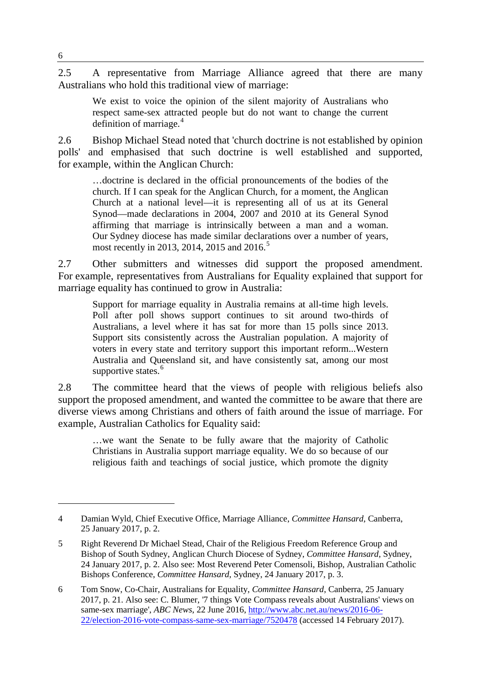2.5 A representative from Marriage Alliance agreed that there are many Australians who hold this traditional view of marriage:

We exist to voice the opinion of the silent majority of Australians who respect same-sex attracted people but do not want to change the current definition of marriage. $4$ 

2.6 Bishop Michael Stead noted that 'church doctrine is not established by opinion polls' and emphasised that such doctrine is well established and supported, for example, within the Anglican Church:

…doctrine is declared in the official pronouncements of the bodies of the church. If I can speak for the Anglican Church, for a moment, the Anglican Church at a national level—it is representing all of us at its General Synod—made declarations in 2004, 2007 and 2010 at its General Synod affirming that marriage is intrinsically between a man and a woman. Our Sydney diocese has made similar declarations over a number of years, most recently in 2013, 2014, 201[5](#page-1-1) and 2016.<sup>5</sup>

2.7 Other submitters and witnesses did support the proposed amendment. For example, representatives from Australians for Equality explained that support for marriage equality has continued to grow in Australia:

Support for marriage equality in Australia remains at all-time high levels. Poll after poll shows support continues to sit around two-thirds of Australians, a level where it has sat for more than 15 polls since 2013. Support sits consistently across the Australian population. A majority of voters in every state and territory support this important reform...Western Australia and Queensland sit, and have consistently sat, among our most supportive states.<sup>[6](#page-1-2)</sup>

2.8 The committee heard that the views of people with religious beliefs also support the proposed amendment, and wanted the committee to be aware that there are diverse views among Christians and others of faith around the issue of marriage. For example, Australian Catholics for Equality said:

…we want the Senate to be fully aware that the majority of Catholic Christians in Australia support marriage equality. We do so because of our religious faith and teachings of social justice, which promote the dignity

<span id="page-1-0"></span><sup>4</sup> Damian Wyld, Chief Executive Office, Marriage Alliance, *Committee Hansard*, Canberra, 25 January 2017, p. 2.

<span id="page-1-1"></span><sup>5</sup> Right Reverend Dr Michael Stead, Chair of the Religious Freedom Reference Group and Bishop of South Sydney, Anglican Church Diocese of Sydney, *Committee Hansard*, Sydney, 24 January 2017, p. 2. Also see: Most Reverend Peter Comensoli, Bishop, Australian Catholic Bishops Conference, *Committee Hansard*, Sydney, 24 January 2017, p. 3.

<span id="page-1-2"></span><sup>6</sup> Tom Snow, Co-Chair, Australians for Equality, *Committee Hansard*, Canberra, 25 January 2017, p. 21. Also see: C. Blumer, '7 things Vote Compass reveals about Australians' views on same-sex marriage', *ABC News*, 22 June 2016, [http://www.abc.net.au/news/2016-06-](http://www.abc.net.au/news/2016-06-22/election-2016-vote-compass-same-sex-marriage/7520478) [22/election-2016-vote-compass-same-sex-marriage/7520478](http://www.abc.net.au/news/2016-06-22/election-2016-vote-compass-same-sex-marriage/7520478) (accessed 14 February 2017).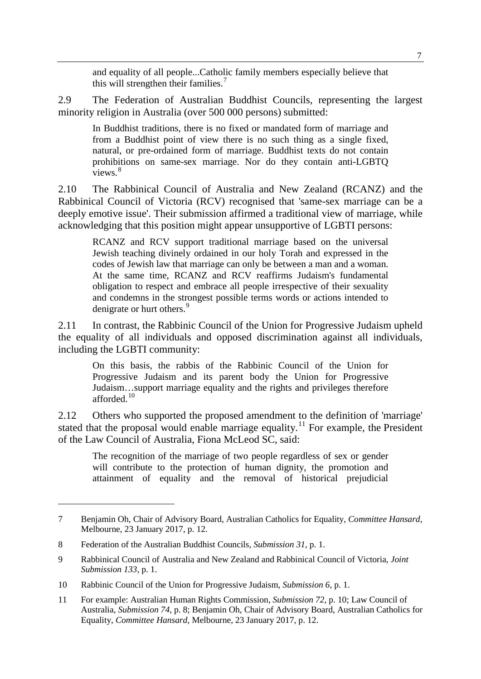and equality of all people...Catholic family members especially believe that this will strengthen their families. [7](#page-2-0)

2.9 The Federation of Australian Buddhist Councils, representing the largest minority religion in Australia (over 500 000 persons) submitted:

In Buddhist traditions, there is no fixed or mandated form of marriage and from a Buddhist point of view there is no such thing as a single fixed, natural, or pre-ordained form of marriage. Buddhist texts do not contain prohibitions on same-sex marriage. Nor do they contain anti-LGBTQ views.<sup>[8](#page-2-1)</sup>

2.10 The Rabbinical Council of Australia and New Zealand (RCANZ) and the Rabbinical Council of Victoria (RCV) recognised that 'same-sex marriage can be a deeply emotive issue'. Their submission affirmed a traditional view of marriage, while acknowledging that this position might appear unsupportive of LGBTI persons:

RCANZ and RCV support traditional marriage based on the universal Jewish teaching divinely ordained in our holy Torah and expressed in the codes of Jewish law that marriage can only be between a man and a woman. At the same time, RCANZ and RCV reaffirms Judaism's fundamental obligation to respect and embrace all people irrespective of their sexuality and condemns in the strongest possible terms words or actions intended to denigrate or hurt others.<sup>[9](#page-2-2)</sup>

2.11 In contrast, the Rabbinic Council of the Union for Progressive Judaism upheld the equality of all individuals and opposed discrimination against all individuals, including the LGBTI community:

On this basis, the rabbis of the Rabbinic Council of the Union for Progressive Judaism and its parent body the Union for Progressive Judaism…support marriage equality and the rights and privileges therefore afforded<sup>[10](#page-2-3)</sup>

2.12 Others who supported the proposed amendment to the definition of 'marriage' stated that the proposal would enable marriage equality.<sup>[11](#page-2-4)</sup> For example, the President of the Law Council of Australia, Fiona McLeod SC, said:

The recognition of the marriage of two people regardless of sex or gender will contribute to the protection of human dignity, the promotion and attainment of equality and the removal of historical prejudicial

<span id="page-2-0"></span><sup>7</sup> Benjamin Oh, Chair of Advisory Board, Australian Catholics for Equality, *Committee Hansard*, Melbourne, 23 January 2017, p. 12.

<span id="page-2-1"></span><sup>8</sup> Federation of the Australian Buddhist Councils, *Submission 31*, p. 1.

<span id="page-2-2"></span><sup>9</sup> Rabbinical Council of Australia and New Zealand and Rabbinical Council of Victoria, *Joint Submission 133*, p. 1.

<span id="page-2-3"></span><sup>10</sup> Rabbinic Council of the Union for Progressive Judaism, *Submission 6*, p. 1.

<span id="page-2-4"></span><sup>11</sup> For example: Australian Human Rights Commission, *Submission 72*, p. 10; Law Council of Australia, *Submission 74*, p. 8; Benjamin Oh, Chair of Advisory Board, Australian Catholics for Equality, *Committee Hansard*, Melbourne, 23 January 2017, p. 12.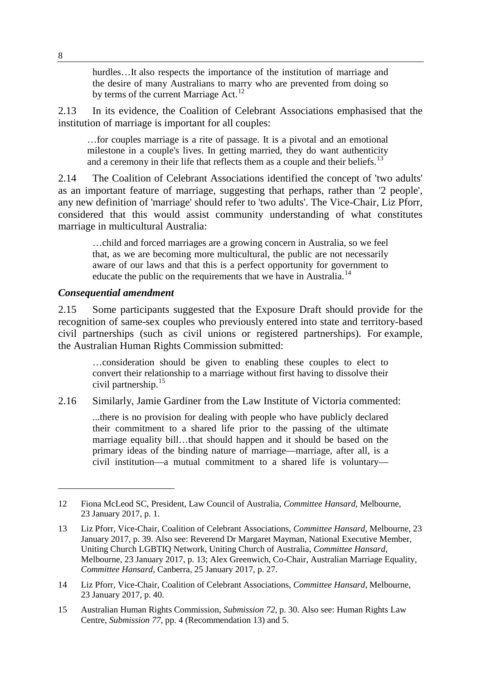hurdles...It also respects the importance of the institution of marriage and the desire of many Australians to marry who are prevented from doing so by terms of the current Marriage Act.<sup>[12](#page-3-0)</sup>

2.13 In its evidence, the Coalition of Celebrant Associations emphasised that the institution of marriage is important for all couples:

…for couples marriage is a rite of passage. It is a pivotal and an emotional milestone in a couple's lives. In getting married, they do want authenticity and a ceremony in their life that reflects them as a couple and their beliefs.<sup>[13](#page-3-1)</sup>

2.14 The Coalition of Celebrant Associations identified the concept of 'two adults' as an important feature of marriage, suggesting that perhaps, rather than '2 people', any new definition of 'marriage' should refer to 'two adults'. The Vice-Chair, Liz Pforr, considered that this would assist community understanding of what constitutes marriage in multicultural Australia:

…child and forced marriages are a growing concern in Australia, so we feel that, as we are becoming more multicultural, the public are not necessarily aware of our laws and that this is a perfect opportunity for government to educate the public on the requirements that we have in Australia.<sup>[14](#page-3-2)</sup>

#### *Consequential amendment*

2.15 Some participants suggested that the Exposure Draft should provide for the recognition of same-sex couples who previously entered into state and territory-based civil partnerships (such as civil unions or registered partnerships). For example, the Australian Human Rights Commission submitted:

…consideration should be given to enabling these couples to elect to convert their relationship to a marriage without first having to dissolve their civil partnership.[15](#page-3-3)

2.16 Similarly, Jamie Gardiner from the Law Institute of Victoria commented:

...there is no provision for dealing with people who have publicly declared their commitment to a shared life prior to the passing of the ultimate marriage equality bill…that should happen and it should be based on the primary ideas of the binding nature of marriage—marriage, after all, is a civil institution—a mutual commitment to a shared life is voluntary—

<span id="page-3-0"></span><sup>12</sup> Fiona McLeod SC, President, Law Council of Australia, *Committee Hansard*, Melbourne, 23 January 2017, p. 1.

<span id="page-3-1"></span><sup>13</sup> Liz Pforr, Vice-Chair, Coalition of Celebrant Associations, *Committee Hansard*, Melbourne, 23 January 2017, p. 39. Also see: Reverend Dr Margaret Mayman, National Executive Member, Uniting Church LGBTIQ Network, Uniting Church of Australia, *Committee Hansard*, Melbourne, 23 January 2017, p. 13; Alex Greenwich, Co-Chair, Australian Marriage Equality, *Committee Hansard*, Canberra, 25 January 2017, p. 27.

<span id="page-3-2"></span><sup>14</sup> Liz Pforr, Vice-Chair, Coalition of Celebrant Associations, *Committee Hansard*, Melbourne, 23 January 2017, p. 40.

<span id="page-3-3"></span><sup>15</sup> Australian Human Rights Commission, *Submission 72*, p. 30. Also see: Human Rights Law Centre, *Submission 77*, pp. 4 (Recommendation 13) and 5.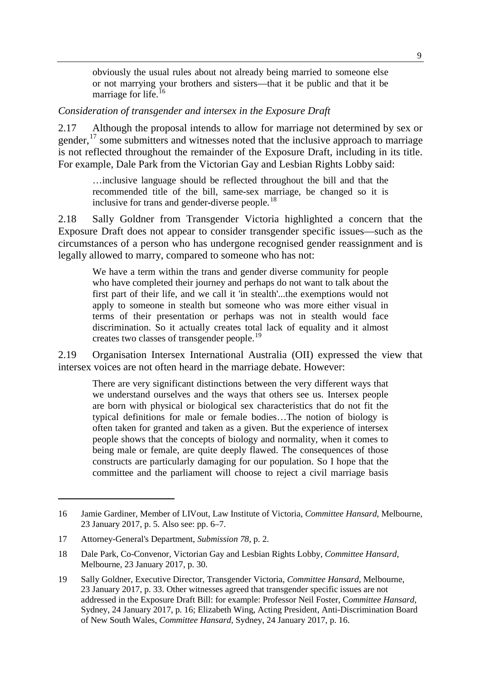obviously the usual rules about not already being married to someone else or not marrying your brothers and sisters—that it be public and that it be marriage for life.<sup>[16](#page-4-0)</sup>

#### *Consideration of transgender and intersex in the Exposure Draft*

2.17 Although the proposal intends to allow for marriage not determined by sex or gender, <sup>[17](#page-4-1)</sup> some submitters and witnesses noted that the inclusive approach to marriage is not reflected throughout the remainder of the Exposure Draft, including in its title. For example, Dale Park from the Victorian Gay and Lesbian Rights Lobby said:

…inclusive language should be reflected throughout the bill and that the recommended title of the bill, same-sex marriage, be changed so it is inclusive for trans and gender-diverse people.<sup>[18](#page-4-2)</sup>

2.18 Sally Goldner from Transgender Victoria highlighted a concern that the Exposure Draft does not appear to consider transgender specific issues—such as the circumstances of a person who has undergone recognised gender reassignment and is legally allowed to marry, compared to someone who has not:

We have a term within the trans and gender diverse community for people who have completed their journey and perhaps do not want to talk about the first part of their life, and we call it 'in stealth'...the exemptions would not apply to someone in stealth but someone who was more either visual in terms of their presentation or perhaps was not in stealth would face discrimination. So it actually creates total lack of equality and it almost creates two classes of transgender people.<sup>[19](#page-4-3)</sup>

2.19 Organisation Intersex International Australia (OII) expressed the view that intersex voices are not often heard in the marriage debate. However:

There are very significant distinctions between the very different ways that we understand ourselves and the ways that others see us. Intersex people are born with physical or biological sex characteristics that do not fit the typical definitions for male or female bodies…The notion of biology is often taken for granted and taken as a given. But the experience of intersex people shows that the concepts of biology and normality, when it comes to being male or female, are quite deeply flawed. The consequences of those constructs are particularly damaging for our population. So I hope that the committee and the parliament will choose to reject a civil marriage basis

<span id="page-4-0"></span><sup>16</sup> Jamie Gardiner, Member of LIVout, Law Institute of Victoria, *Committee Hansard*, Melbourne, 23 January 2017, p. 5. Also see: pp. 6–7.

<span id="page-4-1"></span><sup>17</sup> Attorney-General's Department, *Submission 78*, p. 2.

<span id="page-4-2"></span><sup>18</sup> Dale Park, Co-Convenor, Victorian Gay and Lesbian Rights Lobby, *Committee Hansard*, Melbourne, 23 January 2017, p. 30.

<span id="page-4-3"></span><sup>19</sup> Sally Goldner, Executive Director, Transgender Victoria, *Committee Hansard*, Melbourne, 23 January 2017, p. 33. Other witnesses agreed that transgender specific issues are not addressed in the Exposure Draft Bill: for example: Professor Neil Foster, C*ommittee Hansard*, Sydney, 24 January 2017, p. 16; Elizabeth Wing, Acting President, Anti-Discrimination Board of New South Wales, *Committee Hansard*, Sydney, 24 January 2017, p. 16.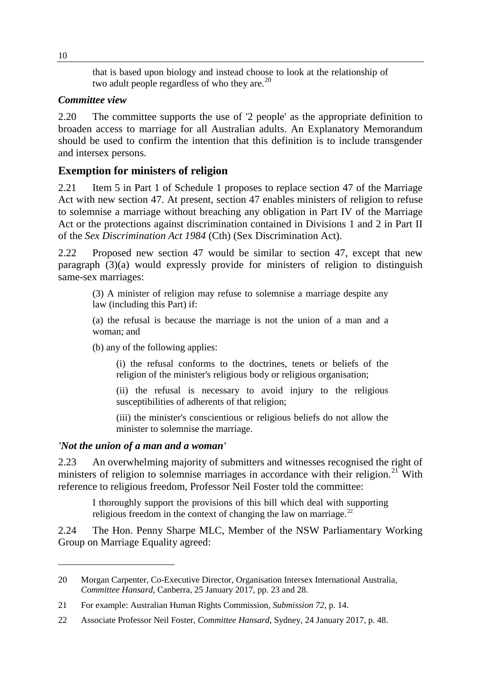that is based upon biology and instead choose to look at the relationship of two adult people regardless of who they are. $^{20}$  $^{20}$  $^{20}$ 

## *Committee view*

2.20 The committee supports the use of '2 people' as the appropriate definition to broaden access to marriage for all Australian adults. An Explanatory Memorandum should be used to confirm the intention that this definition is to include transgender and intersex persons.

# **Exemption for ministers of religion**

2.21 Item 5 in Part 1 of Schedule 1 proposes to replace section 47 of the Marriage Act with new section 47. At present, section 47 enables ministers of religion to refuse to solemnise a marriage without breaching any obligation in Part IV of the Marriage Act or the protections against discrimination contained in Divisions 1 and 2 in Part II of the *Sex Discrimination Act 1984* (Cth) (Sex Discrimination Act).

2.22 Proposed new section 47 would be similar to section 47, except that new paragraph (3)(a) would expressly provide for ministers of religion to distinguish same-sex marriages:

(3) A minister of religion may refuse to solemnise a marriage despite any law (including this Part) if:

(a) the refusal is because the marriage is not the union of a man and a woman; and

(b) any of the following applies:

(i) the refusal conforms to the doctrines, tenets or beliefs of the religion of the minister's religious body or religious organisation;

(ii) the refusal is necessary to avoid injury to the religious susceptibilities of adherents of that religion;

(iii) the minister's conscientious or religious beliefs do not allow the minister to solemnise the marriage.

# *'Not the union of a man and a woman'*

2.23 An overwhelming majority of submitters and witnesses recognised the right of ministers of religion to solemnise marriages in accordance with their religion.<sup>[21](#page-5-1)</sup> With reference to religious freedom, Professor Neil Foster told the committee:

I thoroughly support the provisions of this bill which deal with supporting religious freedom in the context of changing the law on marriage. $^{22}$  $^{22}$  $^{22}$ 

2.24 The Hon. Penny Sharpe MLC, Member of the NSW Parliamentary Working Group on Marriage Equality agreed:

<span id="page-5-0"></span><sup>20</sup> Morgan Carpenter, Co-Executive Director, Organisation Intersex International Australia, *Committee Hansard*, Canberra, 25 January 2017, pp. 23 and 28.

<span id="page-5-1"></span><sup>21</sup> For example: Australian Human Rights Commission, *Submission 72*, p. 14.

<span id="page-5-2"></span><sup>22</sup> Associate Professor Neil Foster, *Committee Hansard*, Sydney, 24 January 2017, p. 48.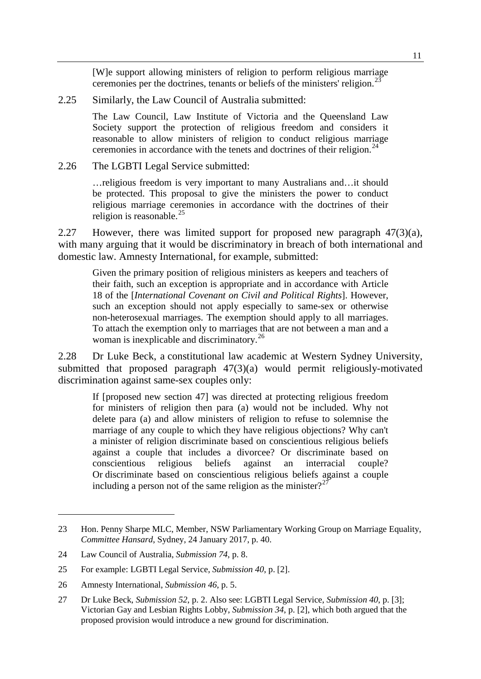[W]e support allowing ministers of religion to perform religious marriage ceremonies per the doctrines, tenants or beliefs of the ministers' religion.<sup>[23](#page-6-0)</sup>

2.25 Similarly, the Law Council of Australia submitted:

The Law Council, Law Institute of Victoria and the Queensland Law Society support the protection of religious freedom and considers it reasonable to allow ministers of religion to conduct religious marriage ceremonies in accordance with the tenets and doctrines of their religion.<sup>[24](#page-6-1)</sup>

2.26 The LGBTI Legal Service submitted:

…religious freedom is very important to many Australians and…it should be protected. This proposal to give the ministers the power to conduct religious marriage ceremonies in accordance with the doctrines of their religion is reasonable. $^{25}$  $^{25}$  $^{25}$ 

2.27 However, there was limited support for proposed new paragraph  $47(3)(a)$ , with many arguing that it would be discriminatory in breach of both international and domestic law. Amnesty International, for example, submitted:

Given the primary position of religious ministers as keepers and teachers of their faith, such an exception is appropriate and in accordance with Article 18 of the [*International Covenant on Civil and Political Rights*]. However, such an exception should not apply especially to same-sex or otherwise non-heterosexual marriages. The exemption should apply to all marriages. To attach the exemption only to marriages that are not between a man and a woman is inexplicable and discriminatory.<sup>[26](#page-6-3)</sup>

2.28 Dr Luke Beck, a constitutional law academic at Western Sydney University, submitted that proposed paragraph 47(3)(a) would permit religiously-motivated discrimination against same-sex couples only:

If [proposed new section 47] was directed at protecting religious freedom for ministers of religion then para (a) would not be included. Why not delete para (a) and allow ministers of religion to refuse to solemnise the marriage of any couple to which they have religious objections? Why can't a minister of religion discriminate based on conscientious religious beliefs against a couple that includes a divorcee? Or discriminate based on conscientious religious beliefs against an interracial couple? Or discriminate based on conscientious religious beliefs against a couple including a person not of the same religion as the minister?<sup>[27](#page-6-4)</sup>

<span id="page-6-0"></span><sup>23</sup> Hon. Penny Sharpe MLC, Member, NSW Parliamentary Working Group on Marriage Equality, *Committee Hansard*, Sydney, 24 January 2017, p. 40.

<span id="page-6-1"></span><sup>24</sup> Law Council of Australia, *Submission 74*, p. 8.

<span id="page-6-2"></span><sup>25</sup> For example: LGBTI Legal Service, *Submission 40*, p. [2].

<span id="page-6-3"></span><sup>26</sup> Amnesty International, *Submission 46*, p. 5.

<span id="page-6-4"></span><sup>27</sup> Dr Luke Beck, *Submission 52*, p. 2. Also see: LGBTI Legal Service, *Submission 40*, p. [3]; Victorian Gay and Lesbian Rights Lobby, *Submission 34*, p. [2], which both argued that the proposed provision would introduce a new ground for discrimination.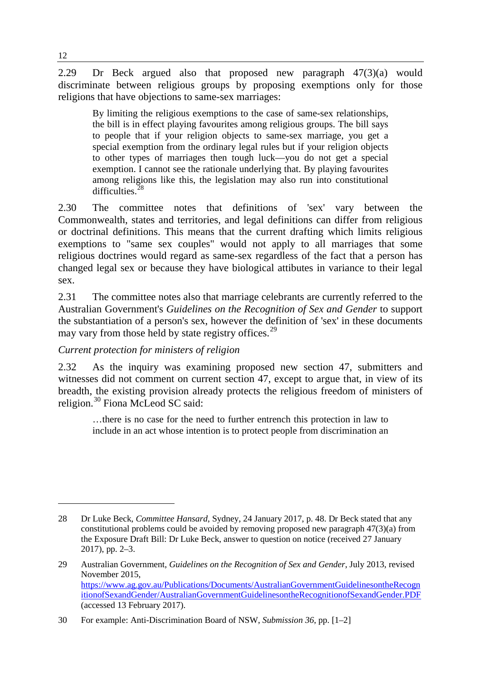2.29 Dr Beck argued also that proposed new paragraph 47(3)(a) would discriminate between religious groups by proposing exemptions only for those religions that have objections to same-sex marriages:

By limiting the religious exemptions to the case of same-sex relationships, the bill is in effect playing favourites among religious groups. The bill says to people that if your religion objects to same-sex marriage, you get a special exemption from the ordinary legal rules but if your religion objects to other types of marriages then tough luck—you do not get a special exemption. I cannot see the rationale underlying that. By playing favourites among religions like this, the legislation may also run into constitutional difficulties.[28](#page-7-0)

2.30 The committee notes that definitions of 'sex' vary between the Commonwealth, states and territories, and legal definitions can differ from religious or doctrinal definitions. This means that the current drafting which limits religious exemptions to "same sex couples" would not apply to all marriages that some religious doctrines would regard as same-sex regardless of the fact that a person has changed legal sex or because they have biological attibutes in variance to their legal sex.

2.31 The committee notes also that marriage celebrants are currently referred to the Australian Government's *Guidelines on the Recognition of Sex and Gender* to support the substantiation of a person's sex, however the definition of 'sex' in these documents may vary from those held by state registry offices.<sup>[29](#page-7-1)</sup>

## *Current protection for ministers of religion*

2.32 As the inquiry was examining proposed new section 47, submitters and witnesses did not comment on current section 47, except to argue that, in view of its breadth, the existing provision already protects the religious freedom of ministers of religion.[30](#page-7-2) Fiona McLeod SC said:

…there is no case for the need to further entrench this protection in law to include in an act whose intention is to protect people from discrimination an

<span id="page-7-0"></span><sup>28</sup> Dr Luke Beck, *Committee Hansard*, Sydney, 24 January 2017, p. 48. Dr Beck stated that any constitutional problems could be avoided by removing proposed new paragraph 47(3)(a) from the Exposure Draft Bill: Dr Luke Beck, answer to question on notice (received 27 January 2017), pp. 2–3.

<span id="page-7-1"></span><sup>29</sup> Australian Government, *Guidelines on the Recognition of Sex and Gender*, July 2013, revised November 2015, [https://www.ag.gov.au/Publications/Documents/AustralianGovernmentGuidelinesontheRecogn](https://www.ag.gov.au/Publications/Documents/AustralianGovernmentGuidelinesontheRecognitionofSexandGender/AustralianGovernmentGuidelinesontheRecognitionofSexandGender.PDF) [itionofSexandGender/AustralianGovernmentGuidelinesontheRecognitionofSexandGender.PDF](https://www.ag.gov.au/Publications/Documents/AustralianGovernmentGuidelinesontheRecognitionofSexandGender/AustralianGovernmentGuidelinesontheRecognitionofSexandGender.PDF) (accessed 13 February 2017).

<span id="page-7-2"></span><sup>30</sup> For example: Anti-Discrimination Board of NSW, *Submission 36*, pp. [1–2]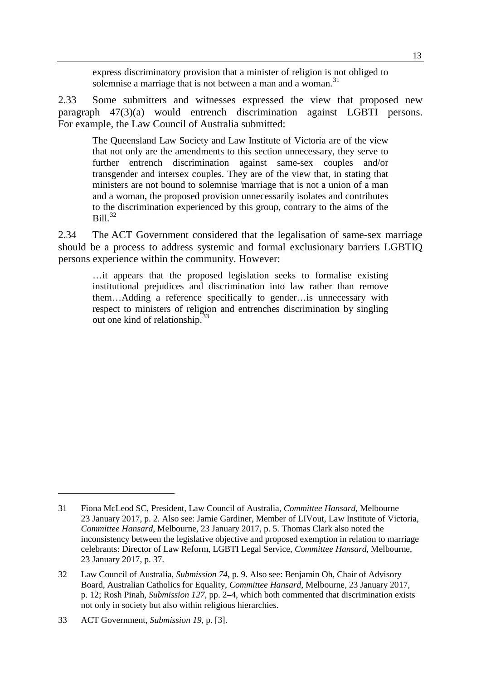express discriminatory provision that a minister of religion is not obliged to solemnise a marriage that is not between a man and a woman.<sup>[31](#page-8-0)</sup>

2.33 Some submitters and witnesses expressed the view that proposed new paragraph 47(3)(a) would entrench discrimination against LGBTI persons. For example, the Law Council of Australia submitted:

The Queensland Law Society and Law Institute of Victoria are of the view that not only are the amendments to this section unnecessary, they serve to further entrench discrimination against same-sex couples and/or transgender and intersex couples. They are of the view that, in stating that ministers are not bound to solemnise 'marriage that is not a union of a man and a woman, the proposed provision unnecessarily isolates and contributes to the discrimination experienced by this group, contrary to the aims of the  $Ri11$ <sup>[32](#page-8-1)</sup>

2.34 The ACT Government considered that the legalisation of same-sex marriage should be a process to address systemic and formal exclusionary barriers LGBTIQ persons experience within the community. However:

…it appears that the proposed legislation seeks to formalise existing institutional prejudices and discrimination into law rather than remove them…Adding a reference specifically to gender…is unnecessary with respect to ministers of religion and entrenches discrimination by singling out one kind of relationship.  $33$ 

<span id="page-8-0"></span><sup>31</sup> Fiona McLeod SC, President, Law Council of Australia, *Committee Hansard*, Melbourne 23 January 2017, p. 2. Also see: Jamie Gardiner, Member of LIVout, Law Institute of Victoria, *Committee Hansard*, Melbourne, 23 January 2017, p. 5. Thomas Clark also noted the inconsistency between the legislative objective and proposed exemption in relation to marriage celebrants: Director of Law Reform, LGBTI Legal Service, *Committee Hansard*, Melbourne, 23 January 2017, p. 37.

<span id="page-8-1"></span><sup>32</sup> Law Council of Australia, *Submission 74*, p. 9. Also see: Benjamin Oh, Chair of Advisory Board, Australian Catholics for Equality, *Committee Hansard*, Melbourne, 23 January 2017, p. 12; Rosh Pinah, *Submission 127*, pp. 2–4, which both commented that discrimination exists not only in society but also within religious hierarchies.

<span id="page-8-2"></span><sup>33</sup> ACT Government, *Submission 19*, p. [3].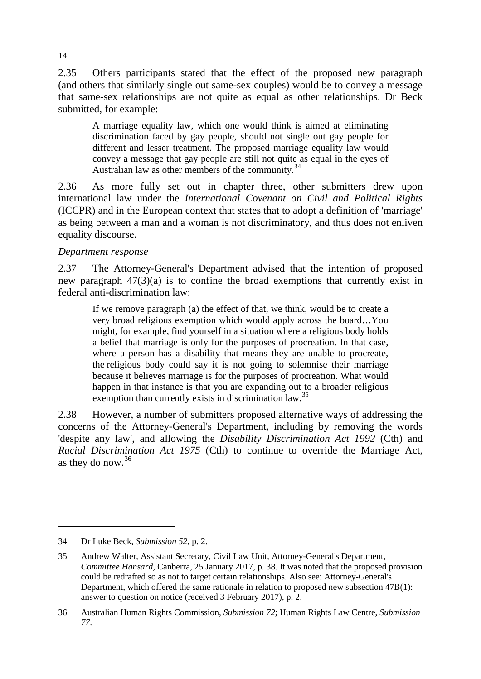2.35 Others participants stated that the effect of the proposed new paragraph (and others that similarly single out same-sex couples) would be to convey a message that same-sex relationships are not quite as equal as other relationships. Dr Beck submitted, for example:

A marriage equality law, which one would think is aimed at eliminating discrimination faced by gay people, should not single out gay people for different and lesser treatment. The proposed marriage equality law would convey a message that gay people are still not quite as equal in the eyes of Australian law as other members of the community. $34$ 

2.36 As more fully set out in chapter three, other submitters drew upon international law under the *International Covenant on Civil and Political Rights* (ICCPR) and in the European context that states that to adopt a definition of 'marriage' as being between a man and a woman is not discriminatory, and thus does not enliven equality discourse.

## *Department response*

2.37 The Attorney-General's Department advised that the intention of proposed new paragraph 47(3)(a) is to confine the broad exemptions that currently exist in federal anti-discrimination law:

If we remove paragraph (a) the effect of that, we think, would be to create a very broad religious exemption which would apply across the board…You might, for example, find yourself in a situation where a religious body holds a belief that marriage is only for the purposes of procreation. In that case, where a person has a disability that means they are unable to procreate, the religious body could say it is not going to solemnise their marriage because it believes marriage is for the purposes of procreation. What would happen in that instance is that you are expanding out to a broader religious exemption than currently exists in discrimination law.<sup>[35](#page-9-1)</sup>

2.38 However, a number of submitters proposed alternative ways of addressing the concerns of the Attorney-General's Department, including by removing the words 'despite any law', and allowing the *Disability Discrimination Act 1992* (Cth) and *Racial Discrimination Act 1975* (Cth) to continue to override the Marriage Act, as they do now.[36](#page-9-2)

<span id="page-9-0"></span><sup>34</sup> Dr Luke Beck, *Submission 52*, p. 2.

<span id="page-9-1"></span><sup>35</sup> Andrew Walter, Assistant Secretary, Civil Law Unit, Attorney-General's Department, *Committee Hansard*, Canberra, 25 January 2017, p. 38. It was noted that the proposed provision could be redrafted so as not to target certain relationships. Also see: Attorney-General's Department, which offered the same rationale in relation to proposed new subsection 47B(1): answer to question on notice (received 3 February 2017), p. 2.

<span id="page-9-2"></span><sup>36</sup> Australian Human Rights Commission, *Submission 72*; Human Rights Law Centre, *Submission 77*.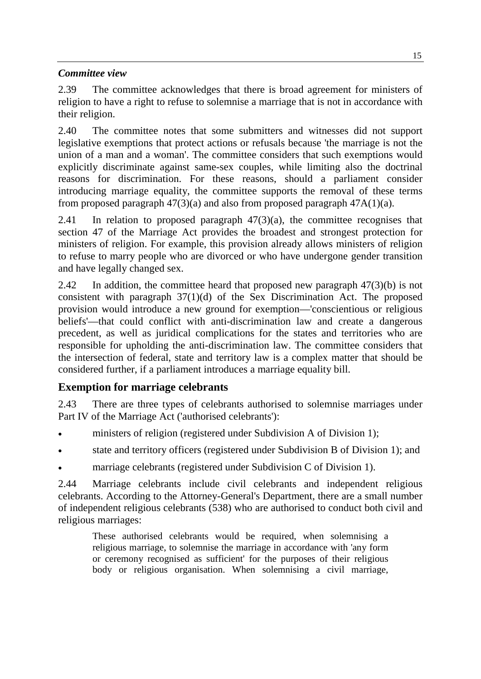## *Committee view*

2.39 The committee acknowledges that there is broad agreement for ministers of religion to have a right to refuse to solemnise a marriage that is not in accordance with their religion.

2.40 The committee notes that some submitters and witnesses did not support legislative exemptions that protect actions or refusals because 'the marriage is not the union of a man and a woman'. The committee considers that such exemptions would explicitly discriminate against same-sex couples, while limiting also the doctrinal reasons for discrimination. For these reasons, should a parliament consider introducing marriage equality, the committee supports the removal of these terms from proposed paragraph  $47(3)(a)$  and also from proposed paragraph  $47A(1)(a)$ .

2.41 In relation to proposed paragraph  $47(3)(a)$ , the committee recognises that section 47 of the Marriage Act provides the broadest and strongest protection for ministers of religion. For example, this provision already allows ministers of religion to refuse to marry people who are divorced or who have undergone gender transition and have legally changed sex.

2.42 In addition, the committee heard that proposed new paragraph 47(3)(b) is not consistent with paragraph 37(1)(d) of the Sex Discrimination Act. The proposed provision would introduce a new ground for exemption—'conscientious or religious beliefs'—that could conflict with anti-discrimination law and create a dangerous precedent, as well as juridical complications for the states and territories who are responsible for upholding the anti-discrimination law. The committee considers that the intersection of federal, state and territory law is a complex matter that should be considered further, if a parliament introduces a marriage equality bill.

# **Exemption for marriage celebrants**

2.43 There are three types of celebrants authorised to solemnise marriages under Part IV of the Marriage Act ('authorised celebrants'):

- ministers of religion (registered under Subdivision A of Division 1);
- state and territory officers (registered under Subdivision B of Division 1); and
- marriage celebrants (registered under Subdivision C of Division 1).

2.44 Marriage celebrants include civil celebrants and independent religious celebrants. According to the Attorney-General's Department, there are a small number of independent religious celebrants (538) who are authorised to conduct both civil and religious marriages:

These authorised celebrants would be required, when solemnising a religious marriage, to solemnise the marriage in accordance with 'any form or ceremony recognised as sufficient' for the purposes of their religious body or religious organisation. When solemnising a civil marriage,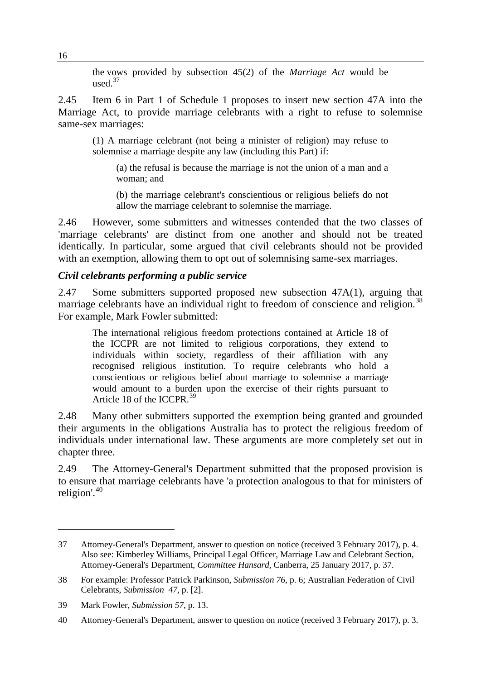the vows provided by subsection 45(2) of the *Marriage Act* would be used $^{37}$  $^{37}$  $^{37}$ 

2.45 Item 6 in Part 1 of Schedule 1 proposes to insert new section 47A into the Marriage Act, to provide marriage celebrants with a right to refuse to solemnise same-sex marriages:

(1) A marriage celebrant (not being a minister of religion) may refuse to solemnise a marriage despite any law (including this Part) if:

(a) the refusal is because the marriage is not the union of a man and a woman; and

(b) the marriage celebrant's conscientious or religious beliefs do not allow the marriage celebrant to solemnise the marriage.

2.46 However, some submitters and witnesses contended that the two classes of 'marriage celebrants' are distinct from one another and should not be treated identically. In particular, some argued that civil celebrants should not be provided with an exemption, allowing them to opt out of solemnising same-sex marriages.

#### *Civil celebrants performing a public service*

2.47 Some submitters supported proposed new subsection 47A(1), arguing that marriage celebrants have an individual right to freedom of conscience and religion.<sup>[38](#page-11-1)</sup> For example, Mark Fowler submitted:

The international religious freedom protections contained at Article 18 of the ICCPR are not limited to religious corporations, they extend to individuals within society, regardless of their affiliation with any recognised religious institution. To require celebrants who hold a conscientious or religious belief about marriage to solemnise a marriage would amount to a burden upon the exercise of their rights pursuant to Article 18 of the ICCPR.<sup>[39](#page-11-2)</sup>

2.48 Many other submitters supported the exemption being granted and grounded their arguments in the obligations Australia has to protect the religious freedom of individuals under international law. These arguments are more completely set out in chapter three.

2.49 The Attorney-General's Department submitted that the proposed provision is to ensure that marriage celebrants have 'a protection analogous to that for ministers of religion'.[40](#page-11-3)

<span id="page-11-0"></span><sup>37</sup> Attorney-General's Department, answer to question on notice (received 3 February 2017), p. 4. Also see: Kimberley Williams, Principal Legal Officer, Marriage Law and Celebrant Section, Attorney-General's Department, *Committee Hansard*, Canberra, 25 January 2017, p. 37.

<span id="page-11-1"></span><sup>38</sup> For example: Professor Patrick Parkinson, *Submission 76*, p. 6; Australian Federation of Civil Celebrants, *Submission 47*, p. [2].

<span id="page-11-2"></span><sup>39</sup> Mark Fowler, *Submission 57*, p. 13.

<span id="page-11-3"></span><sup>40</sup> Attorney-General's Department, answer to question on notice (received 3 February 2017), p. 3.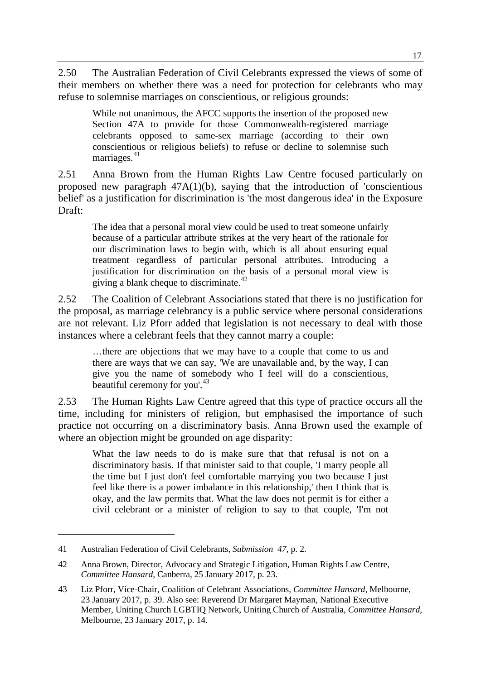2.50 The Australian Federation of Civil Celebrants expressed the views of some of their members on whether there was a need for protection for celebrants who may refuse to solemnise marriages on conscientious, or religious grounds:

While not unanimous, the AFCC supports the insertion of the proposed new Section 47A to provide for those Commonwealth-registered marriage celebrants opposed to same-sex marriage (according to their own conscientious or religious beliefs) to refuse or decline to solemnise such marriages.<sup>[41](#page-12-0)</sup>

2.51 Anna Brown from the Human Rights Law Centre focused particularly on proposed new paragraph  $47A(1)(b)$ , saying that the introduction of 'conscientious' belief' as a justification for discrimination is 'the most dangerous idea' in the Exposure Draft:

The idea that a personal moral view could be used to treat someone unfairly because of a particular attribute strikes at the very heart of the rationale for our discrimination laws to begin with, which is all about ensuring equal treatment regardless of particular personal attributes. Introducing a justification for discrimination on the basis of a personal moral view is giving a blank cheque to discriminate. $42$ 

2.52 The Coalition of Celebrant Associations stated that there is no justification for the proposal, as marriage celebrancy is a public service where personal considerations are not relevant. Liz Pforr added that legislation is not necessary to deal with those instances where a celebrant feels that they cannot marry a couple:

…there are objections that we may have to a couple that come to us and there are ways that we can say, 'We are unavailable and, by the way, I can give you the name of somebody who I feel will do a conscientious, beautiful ceremony for you'.<sup>[43](#page-12-2)</sup>

2.53 The Human Rights Law Centre agreed that this type of practice occurs all the time, including for ministers of religion, but emphasised the importance of such practice not occurring on a discriminatory basis. Anna Brown used the example of where an objection might be grounded on age disparity:

What the law needs to do is make sure that that refusal is not on a discriminatory basis. If that minister said to that couple, 'I marry people all the time but I just don't feel comfortable marrying you two because I just feel like there is a power imbalance in this relationship,' then I think that is okay, and the law permits that. What the law does not permit is for either a civil celebrant or a minister of religion to say to that couple, 'I'm not

<span id="page-12-0"></span><sup>41</sup> Australian Federation of Civil Celebrants, *Submission 47*, p. 2.

<span id="page-12-1"></span><sup>42</sup> Anna Brown, Director, Advocacy and Strategic Litigation, Human Rights Law Centre, *Committee Hansard*, Canberra, 25 January 2017, p. 23.

<span id="page-12-2"></span><sup>43</sup> Liz Pforr, Vice-Chair, Coalition of Celebrant Associations, *Committee Hansard*, Melbourne, 23 January 2017, p. 39. Also see: Reverend Dr Margaret Mayman, National Executive Member, Uniting Church LGBTIQ Network, Uniting Church of Australia, *Committee Hansard*, Melbourne, 23 January 2017, p. 14.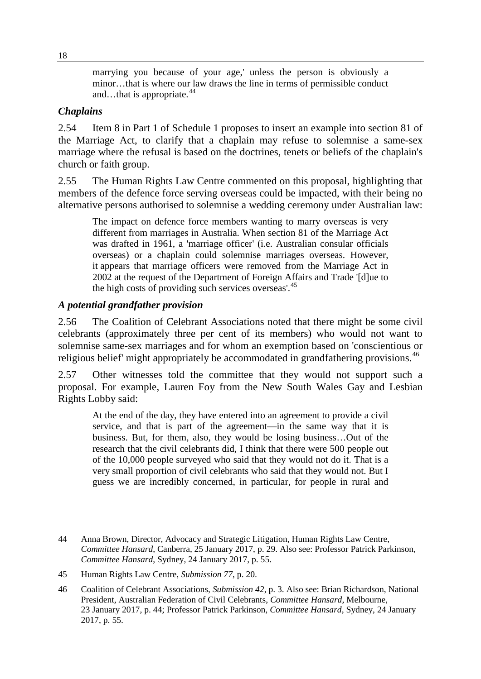marrying you because of your age,' unless the person is obviously a minor…that is where our law draws the line in terms of permissible conduct and…that is appropriate. $44$ 

#### *Chaplains*

2.54 Item 8 in Part 1 of Schedule 1 proposes to insert an example into section 81 of the Marriage Act, to clarify that a chaplain may refuse to solemnise a same-sex marriage where the refusal is based on the doctrines, tenets or beliefs of the chaplain's church or faith group.

2.55 The Human Rights Law Centre commented on this proposal, highlighting that members of the defence force serving overseas could be impacted, with their being no alternative persons authorised to solemnise a wedding ceremony under Australian law:

The impact on defence force members wanting to marry overseas is very different from marriages in Australia. When section 81 of the Marriage Act was drafted in 1961, a 'marriage officer' (i.e. Australian consular officials overseas) or a chaplain could solemnise marriages overseas. However, it appears that marriage officers were removed from the Marriage Act in 2002 at the request of the Department of Foreign Affairs and Trade '[d]ue to the high costs of providing such services overseas'.<sup>[45](#page-13-1)</sup>

## *A potential grandfather provision*

2.56 The Coalition of Celebrant Associations noted that there might be some civil celebrants (approximately three per cent of its members) who would not want to solemnise same-sex marriages and for whom an exemption based on 'conscientious or religious belief' might appropriately be accommodated in grandfathering provisions.<sup>[46](#page-13-2)</sup>

2.57 Other witnesses told the committee that they would not support such a proposal. For example, Lauren Foy from the New South Wales Gay and Lesbian Rights Lobby said:

At the end of the day, they have entered into an agreement to provide a civil service, and that is part of the agreement—in the same way that it is business. But, for them, also, they would be losing business…Out of the research that the civil celebrants did, I think that there were 500 people out of the 10,000 people surveyed who said that they would not do it. That is a very small proportion of civil celebrants who said that they would not. But I guess we are incredibly concerned, in particular, for people in rural and

<span id="page-13-0"></span><sup>44</sup> Anna Brown, Director, Advocacy and Strategic Litigation, Human Rights Law Centre, *Committee Hansard*, Canberra, 25 January 2017, p. 29. Also see: Professor Patrick Parkinson, *Committee Hansard*, Sydney, 24 January 2017, p. 55.

<span id="page-13-1"></span><sup>45</sup> Human Rights Law Centre, *Submission 77*, p. 20.

<span id="page-13-2"></span><sup>46</sup> Coalition of Celebrant Associations, *Submission 42*, p. 3. Also see: Brian Richardson, National President, Australian Federation of Civil Celebrants, *Committee Hansard*, Melbourne, 23 January 2017, p. 44; Professor Patrick Parkinson, *Committee Hansard*, Sydney, 24 January 2017, p. 55.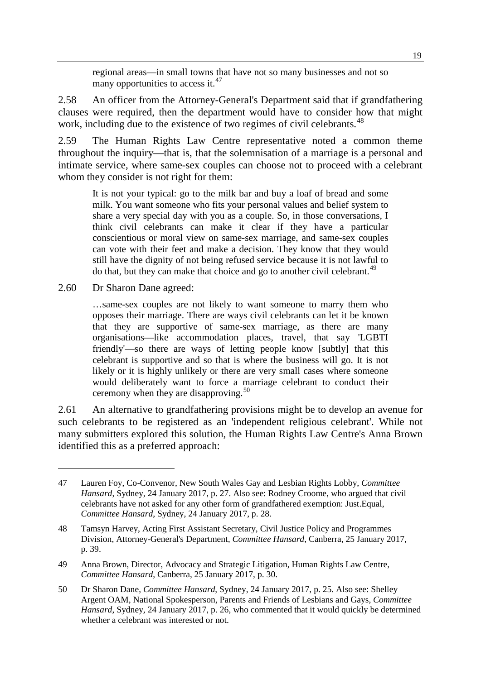regional areas—in small towns that have not so many businesses and not so many opportunities to access it. $47$ 

2.58 An officer from the Attorney-General's Department said that if grandfathering clauses were required, then the department would have to consider how that might work, including due to the existence of two regimes of civil celebrants.<sup>[48](#page-14-1)</sup>

2.59 The Human Rights Law Centre representative noted a common theme throughout the inquiry—that is, that the solemnisation of a marriage is a personal and intimate service, where same-sex couples can choose not to proceed with a celebrant whom they consider is not right for them:

It is not your typical: go to the milk bar and buy a loaf of bread and some milk. You want someone who fits your personal values and belief system to share a very special day with you as a couple. So, in those conversations, I think civil celebrants can make it clear if they have a particular conscientious or moral view on same-sex marriage, and same-sex couples can vote with their feet and make a decision. They know that they would still have the dignity of not being refused service because it is not lawful to do that, but they can make that choice and go to another civil celebrant.<sup>[49](#page-14-2)</sup>

2.60 Dr Sharon Dane agreed:

-

…same-sex couples are not likely to want someone to marry them who opposes their marriage. There are ways civil celebrants can let it be known that they are supportive of same-sex marriage, as there are many organisations—like accommodation places, travel, that say 'LGBTI friendly'—so there are ways of letting people know [subtly] that this celebrant is supportive and so that is where the business will go. It is not likely or it is highly unlikely or there are very small cases where someone would deliberately want to force a marriage celebrant to conduct their ceremony when they are disapproving.<sup>[50](#page-14-3)</sup>

2.61 An alternative to grandfathering provisions might be to develop an avenue for such celebrants to be registered as an 'independent religious celebrant'. While not many submitters explored this solution, the Human Rights Law Centre's Anna Brown identified this as a preferred approach:

<span id="page-14-0"></span><sup>47</sup> Lauren Foy, Co-Convenor, New South Wales Gay and Lesbian Rights Lobby, *Committee Hansard*, Sydney, 24 January 2017, p. 27. Also see: Rodney Croome, who argued that civil celebrants have not asked for any other form of grandfathered exemption: Just.Equal, *Committee Hansard*, Sydney, 24 January 2017, p. 28.

<span id="page-14-1"></span><sup>48</sup> Tamsyn Harvey, Acting First Assistant Secretary, Civil Justice Policy and Programmes Division, Attorney-General's Department, *Committee Hansard*, Canberra, 25 January 2017, p. 39.

<span id="page-14-2"></span><sup>49</sup> Anna Brown, Director, Advocacy and Strategic Litigation, Human Rights Law Centre, *Committee Hansard*, Canberra, 25 January 2017, p. 30.

<span id="page-14-3"></span><sup>50</sup> Dr Sharon Dane, *Committee Hansard*, Sydney, 24 January 2017, p. 25. Also see: Shelley Argent OAM, National Spokesperson, Parents and Friends of Lesbians and Gays, *Committee Hansard*, Sydney, 24 January 2017, p. 26, who commented that it would quickly be determined whether a celebrant was interested or not.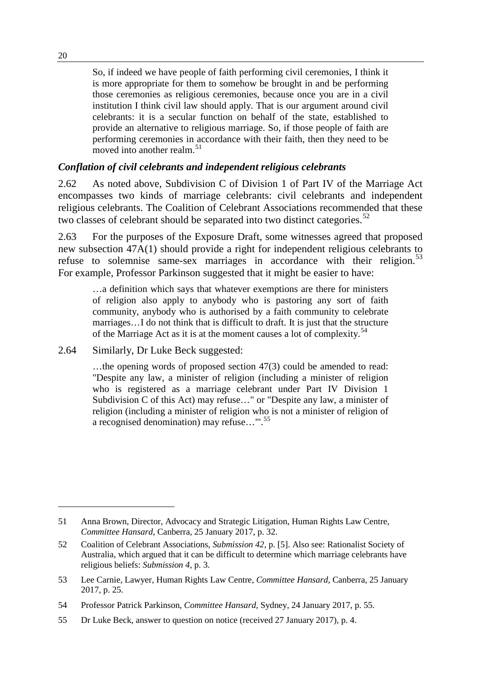So, if indeed we have people of faith performing civil ceremonies, I think it is more appropriate for them to somehow be brought in and be performing those ceremonies as religious ceremonies, because once you are in a civil institution I think civil law should apply. That is our argument around civil celebrants: it is a secular function on behalf of the state, established to provide an alternative to religious marriage. So, if those people of faith are performing ceremonies in accordance with their faith, then they need to be moved into another realm.<sup>[51](#page-15-0)</sup>

# *Conflation of civil celebrants and independent religious celebrants*

2.62 As noted above, Subdivision C of Division 1 of Part IV of the Marriage Act encompasses two kinds of marriage celebrants: civil celebrants and independent religious celebrants. The Coalition of Celebrant Associations recommended that these two classes of celebrant should be separated into two distinct categories.<sup>[52](#page-15-1)</sup>

2.63 For the purposes of the Exposure Draft, some witnesses agreed that proposed new subsection 47A(1) should provide a right for independent religious celebrants to refuse to solemnise same-sex marriages in accordance with their religion.<sup>[53](#page-15-2)</sup> For example, Professor Parkinson suggested that it might be easier to have:

…a definition which says that whatever exemptions are there for ministers of religion also apply to anybody who is pastoring any sort of faith community, anybody who is authorised by a faith community to celebrate marriages…I do not think that is difficult to draft. It is just that the structure of the Marriage Act as it is at the moment causes a lot of complexity.<sup>[54](#page-15-3)</sup>

2.64 Similarly, Dr Luke Beck suggested:

…the opening words of proposed section 47(3) could be amended to read: "Despite any law, a minister of religion (including a minister of religion who is registered as a marriage celebrant under Part IV Division 1 Subdivision C of this Act) may refuse…" or "Despite any law, a minister of religion (including a minister of religion who is not a minister of religion of a recognised denomination) may refuse…"'. [55](#page-15-4)

<span id="page-15-0"></span><sup>51</sup> Anna Brown, Director, Advocacy and Strategic Litigation, Human Rights Law Centre, *Committee Hansard*, Canberra, 25 January 2017, p. 32.

<span id="page-15-1"></span><sup>52</sup> Coalition of Celebrant Associations, *Submission 42*, p. [5]. Also see: Rationalist Society of Australia, which argued that it can be difficult to determine which marriage celebrants have religious beliefs: *Submission 4*, p. 3.

<span id="page-15-2"></span><sup>53</sup> Lee Carnie, Lawyer, Human Rights Law Centre, *Committee Hansard*, Canberra, 25 January 2017, p. 25.

<span id="page-15-3"></span><sup>54</sup> Professor Patrick Parkinson, *Committee Hansard*, Sydney, 24 January 2017, p. 55.

<span id="page-15-4"></span><sup>55</sup> Dr Luke Beck, answer to question on notice (received 27 January 2017), p. 4.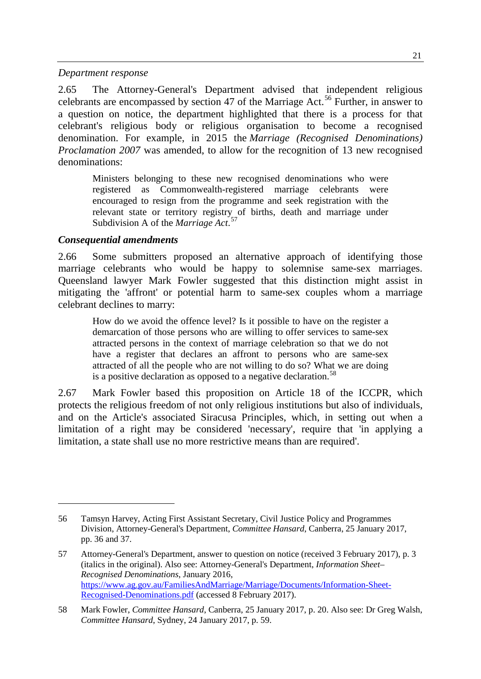#### *Department response*

2.65 The Attorney-General's Department advised that independent religious celebrants are encompassed by section 47 of the Marriage Act.<sup>[56](#page-16-0)</sup> Further, in answer to a question on notice, the department highlighted that there is a process for that celebrant's religious body or religious organisation to become a recognised denomination. For example, in 2015 the *Marriage (Recognised Denominations) Proclamation 2007* was amended, to allow for the recognition of 13 new recognised denominations:

Ministers belonging to these new recognised denominations who were registered as Commonwealth-registered marriage celebrants were encouraged to resign from the programme and seek registration with the relevant state or territory registry of births, death and marriage under Subdivision A of the *Marriage Act*. [57](#page-16-1)

#### *Consequential amendments*

-

2.66 Some submitters proposed an alternative approach of identifying those marriage celebrants who would be happy to solemnise same-sex marriages. Queensland lawyer Mark Fowler suggested that this distinction might assist in mitigating the 'affront' or potential harm to same-sex couples whom a marriage celebrant declines to marry:

How do we avoid the offence level? Is it possible to have on the register a demarcation of those persons who are willing to offer services to same-sex attracted persons in the context of marriage celebration so that we do not have a register that declares an affront to persons who are same-sex attracted of all the people who are not willing to do so? What we are doing is a positive declaration as opposed to a negative declaration.<sup>[58](#page-16-2)</sup>

2.67 Mark Fowler based this proposition on Article 18 of the ICCPR, which protects the religious freedom of not only religious institutions but also of individuals, and on the Article's associated Siracusa Principles, which, in setting out when a limitation of a right may be considered 'necessary', require that 'in applying a limitation, a state shall use no more restrictive means than are required'.

<span id="page-16-0"></span><sup>56</sup> Tamsyn Harvey, Acting First Assistant Secretary, Civil Justice Policy and Programmes Division, Attorney-General's Department, *Committee Hansard*, Canberra, 25 January 2017, pp. 36 and 37.

<span id="page-16-1"></span><sup>57</sup> Attorney-General's Department, answer to question on notice (received 3 February 2017), p. 3 (italics in the original). Also see: Attorney-General's Department, *Information Sheet– Recognised Denominations*, January 2016, [https://www.ag.gov.au/FamiliesAndMarriage/Marriage/Documents/Information-Sheet-](https://www.ag.gov.au/FamiliesAndMarriage/Marriage/Documents/Information-Sheet-Recognised-Denominations.pdf)[Recognised-Denominations.pdf](https://www.ag.gov.au/FamiliesAndMarriage/Marriage/Documents/Information-Sheet-Recognised-Denominations.pdf) (accessed 8 February 2017).

<span id="page-16-2"></span><sup>58</sup> Mark Fowler, *Committee Hansard*, Canberra, 25 January 2017, p. 20. Also see: Dr Greg Walsh, *Committee Hansard*, Sydney, 24 January 2017, p. 59.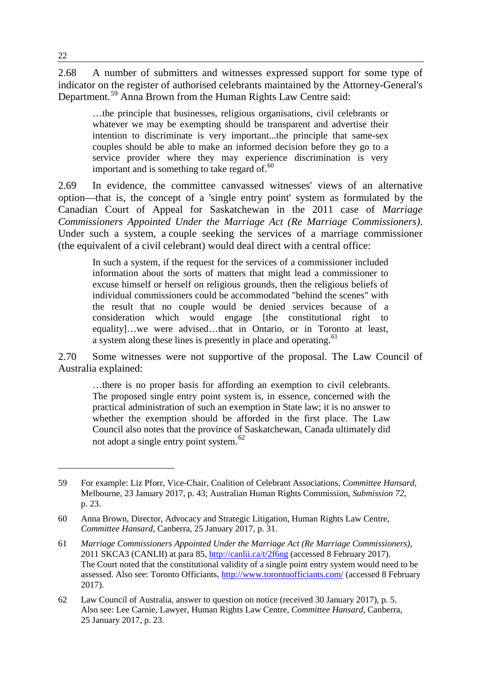2.68 A number of submitters and witnesses expressed support for some type of indicator on the register of authorised celebrants maintained by the Attorney-General's Department.[59](#page-17-0) Anna Brown from the Human Rights Law Centre said:

…the principle that businesses, religious organisations, civil celebrants or whatever we may be exempting should be transparent and advertise their intention to discriminate is very important...the principle that same-sex couples should be able to make an informed decision before they go to a service provider where they may experience discrimination is very important and is something to take regard of.<sup>[60](#page-17-1)</sup>

2.69 In evidence, the committee canvassed witnesses' views of an alternative option—that is, the concept of a 'single entry point' system as formulated by the Canadian Court of Appeal for Saskatchewan in the 2011 case of *Marriage Commissioners Appointed Under the Marriage Act (Re Marriage Commissioners)*. Under such a system, a couple seeking the services of a marriage commissioner (the equivalent of a civil celebrant) would deal direct with a central office:

In such a system, if the request for the services of a commissioner included information about the sorts of matters that might lead a commissioner to excuse himself or herself on religious grounds, then the religious beliefs of individual commissioners could be accommodated "behind the scenes" with the result that no couple would be denied services because of a consideration which would engage [the constitutional right to equality]…we were advised…that in Ontario, or in Toronto at least, a system along these lines is presently in place and operating.<sup>[61](#page-17-2)</sup>

2.70 Some witnesses were not supportive of the proposal. The Law Council of Australia explained:

…there is no proper basis for affording an exemption to civil celebrants. The proposed single entry point system is, in essence, concerned with the practical administration of such an exemption in State law; it is no answer to whether the exemption should be afforded in the first place. The Law Council also notes that the province of Saskatchewan, Canada ultimately did not adopt a single entry point system.<sup>[62](#page-17-3)</sup>

<span id="page-17-0"></span><sup>59</sup> For example: Liz Pforr, Vice-Chair, Coalition of Celebrant Associations, *Committee Hansard*, Melbourne, 23 January 2017, p. 43; Australian Human Rights Commission, *Submission 72*, p. 23.

<span id="page-17-1"></span><sup>60</sup> Anna Brown, Director, Advocacy and Strategic Litigation, Human Rights Law Centre, *Committee Hansard*, Canberra, 25 January 2017, p. 31.

<span id="page-17-2"></span><sup>61</sup> *Marriage Commissioners Appointed Under the Marriage Act (Re Marriage Commissioners)*, 2011 SKCA3 (CANLII) at para 85,<http://canlii.ca/t/2f6ng> (accessed 8 February 2017). The Court noted that the constitutional validity of a single point entry system would need to be assessed. Also see: Toronto Officiants,<http://www.torontoofficiants.com/> (accessed 8 February 2017).

<span id="page-17-3"></span><sup>62</sup> Law Council of Australia, answer to question on notice (received 30 January 2017), p. 5. Also see: Lee Carnie, Lawyer, Human Rights Law Centre, *Committee Hansard*, Canberra, 25 January 2017, p. 23.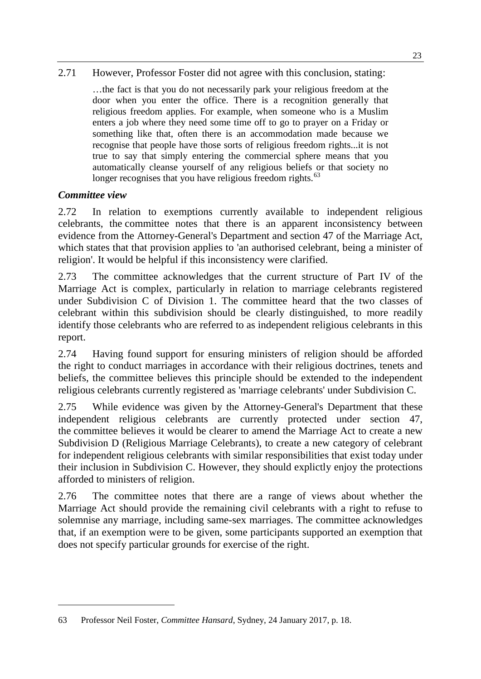2.71 However, Professor Foster did not agree with this conclusion, stating:

…the fact is that you do not necessarily park your religious freedom at the door when you enter the office. There is a recognition generally that religious freedom applies. For example, when someone who is a Muslim enters a job where they need some time off to go to prayer on a Friday or something like that, often there is an accommodation made because we recognise that people have those sorts of religious freedom rights...it is not true to say that simply entering the commercial sphere means that you automatically cleanse yourself of any religious beliefs or that society no longer recognises that you have religious freedom rights.<sup>[63](#page-18-0)</sup>

## *Committee view*

-

2.72 In relation to exemptions currently available to independent religious celebrants, the committee notes that there is an apparent inconsistency between evidence from the Attorney-General's Department and section 47 of the Marriage Act, which states that that provision applies to 'an authorised celebrant, being a minister of religion'. It would be helpful if this inconsistency were clarified.

2.73 The committee acknowledges that the current structure of Part IV of the Marriage Act is complex, particularly in relation to marriage celebrants registered under Subdivision C of Division 1. The committee heard that the two classes of celebrant within this subdivision should be clearly distinguished, to more readily identify those celebrants who are referred to as independent religious celebrants in this report.

2.74 Having found support for ensuring ministers of religion should be afforded the right to conduct marriages in accordance with their religious doctrines, tenets and beliefs, the committee believes this principle should be extended to the independent religious celebrants currently registered as 'marriage celebrants' under Subdivision C.

2.75 While evidence was given by the Attorney-General's Department that these independent religious celebrants are currently protected under section 47, the committee believes it would be clearer to amend the Marriage Act to create a new Subdivision D (Religious Marriage Celebrants), to create a new category of celebrant for independent religious celebrants with similar responsibilities that exist today under their inclusion in Subdivision C. However, they should explictly enjoy the protections afforded to ministers of religion.

2.76 The committee notes that there are a range of views about whether the Marriage Act should provide the remaining civil celebrants with a right to refuse to solemnise any marriage, including same-sex marriages. The committee acknowledges that, if an exemption were to be given, some participants supported an exemption that does not specify particular grounds for exercise of the right.

<span id="page-18-0"></span><sup>63</sup> Professor Neil Foster, *Committee Hansard*, Sydney, 24 January 2017, p. 18.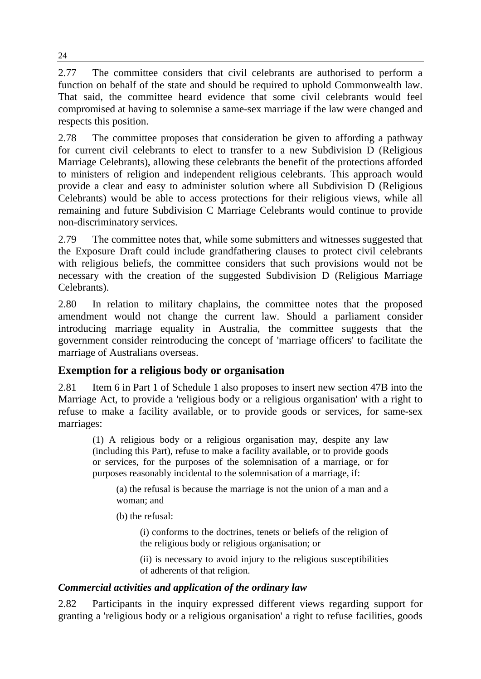2.77 The committee considers that civil celebrants are authorised to perform a function on behalf of the state and should be required to uphold Commonwealth law. That said, the committee heard evidence that some civil celebrants would feel compromised at having to solemnise a same-sex marriage if the law were changed and respects this position.

2.78 The committee proposes that consideration be given to affording a pathway for current civil celebrants to elect to transfer to a new Subdivision D (Religious Marriage Celebrants), allowing these celebrants the benefit of the protections afforded to ministers of religion and independent religious celebrants. This approach would provide a clear and easy to administer solution where all Subdivision D (Religious Celebrants) would be able to access protections for their religious views, while all remaining and future Subdivision C Marriage Celebrants would continue to provide non-discriminatory services.

2.79 The committee notes that, while some submitters and witnesses suggested that the Exposure Draft could include grandfathering clauses to protect civil celebrants with religious beliefs, the committee considers that such provisions would not be necessary with the creation of the suggested Subdivision D (Religious Marriage Celebrants).

2.80 In relation to military chaplains, the committee notes that the proposed amendment would not change the current law. Should a parliament consider introducing marriage equality in Australia, the committee suggests that the government consider reintroducing the concept of 'marriage officers' to facilitate the marriage of Australians overseas.

# **Exemption for a religious body or organisation**

2.81 Item 6 in Part 1 of Schedule 1 also proposes to insert new section 47B into the Marriage Act, to provide a 'religious body or a religious organisation' with a right to refuse to make a facility available, or to provide goods or services, for same-sex marriages:

(1) A religious body or a religious organisation may, despite any law (including this Part), refuse to make a facility available, or to provide goods or services, for the purposes of the solemnisation of a marriage, or for purposes reasonably incidental to the solemnisation of a marriage, if:

(a) the refusal is because the marriage is not the union of a man and a woman; and

(b) the refusal:

(i) conforms to the doctrines, tenets or beliefs of the religion of the religious body or religious organisation; or

(ii) is necessary to avoid injury to the religious susceptibilities of adherents of that religion.

# *Commercial activities and application of the ordinary law*

2.82 Participants in the inquiry expressed different views regarding support for granting a 'religious body or a religious organisation' a right to refuse facilities, goods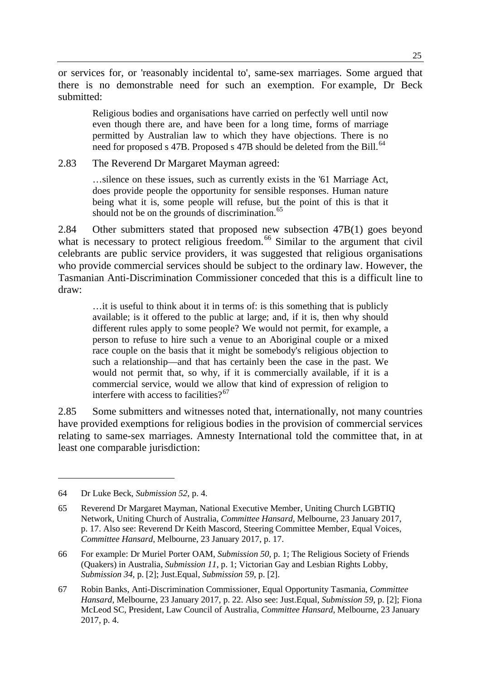or services for, or 'reasonably incidental to', same-sex marriages. Some argued that there is no demonstrable need for such an exemption. For example, Dr Beck submitted:

Religious bodies and organisations have carried on perfectly well until now even though there are, and have been for a long time, forms of marriage permitted by Australian law to which they have objections. There is no need for proposed s 47B. Proposed s 47B should be deleted from the Bill.<sup>[64](#page-20-0)</sup>

2.83 The Reverend Dr Margaret Mayman agreed:

…silence on these issues, such as currently exists in the '61 Marriage Act, does provide people the opportunity for sensible responses. Human nature being what it is, some people will refuse, but the point of this is that it should not be on the grounds of discrimination.<sup>[65](#page-20-1)</sup>

2.84 Other submitters stated that proposed new subsection 47B(1) goes beyond what is necessary to protect religious freedom.<sup>[66](#page-20-2)</sup> Similar to the argument that civil celebrants are public service providers, it was suggested that religious organisations who provide commercial services should be subject to the ordinary law. However, the Tasmanian Anti-Discrimination Commissioner conceded that this is a difficult line to draw:

…it is useful to think about it in terms of: is this something that is publicly available; is it offered to the public at large; and, if it is, then why should different rules apply to some people? We would not permit, for example, a person to refuse to hire such a venue to an Aboriginal couple or a mixed race couple on the basis that it might be somebody's religious objection to such a relationship—and that has certainly been the case in the past. We would not permit that, so why, if it is commercially available, if it is a commercial service, would we allow that kind of expression of religion to interfere with access to facilities? $67$ 

2.85 Some submitters and witnesses noted that, internationally, not many countries have provided exemptions for religious bodies in the provision of commercial services relating to same-sex marriages. Amnesty International told the committee that, in at least one comparable jurisdiction:

<span id="page-20-0"></span><sup>64</sup> Dr Luke Beck, *Submission 52*, p. 4.

<span id="page-20-1"></span><sup>65</sup> Reverend Dr Margaret Mayman, National Executive Member, Uniting Church LGBTIQ Network, Uniting Church of Australia, *Committee Hansard*, Melbourne, 23 January 2017, p. 17. Also see: Reverend Dr Keith Mascord, Steering Committee Member, Equal Voices, *Committee Hansard*, Melbourne, 23 January 2017, p. 17.

<span id="page-20-2"></span><sup>66</sup> For example: Dr Muriel Porter OAM, *Submission 50*, p. 1; The Religious Society of Friends (Quakers) in Australia, *Submission 11*, p. 1; Victorian Gay and Lesbian Rights Lobby, *Submission 34*, p. [2]; Just.Equal, *Submission 59*, p. [2].

<span id="page-20-3"></span><sup>67</sup> Robin Banks, Anti-Discrimination Commissioner, Equal Opportunity Tasmania, *Committee Hansard*, Melbourne, 23 January 2017, p. 22. Also see: Just.Equal, *Submission 59*, p. [2]; Fiona McLeod SC, President, Law Council of Australia, *Committee Hansard*, Melbourne, 23 January 2017, p. 4.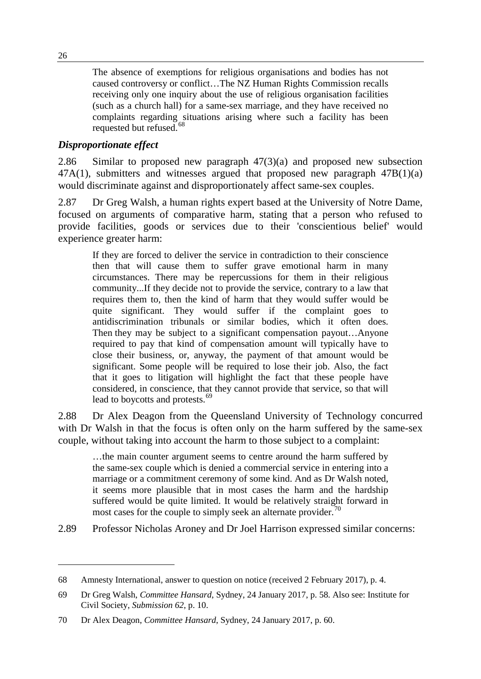The absence of exemptions for religious organisations and bodies has not caused controversy or conflict…The NZ Human Rights Commission recalls receiving only one inquiry about the use of religious organisation facilities (such as a church hall) for a same-sex marriage, and they have received no complaints regarding situations arising where such a facility has been requested but refused. [68](#page-21-0)

#### *Disproportionate effect*

2.86 Similar to proposed new paragraph 47(3)(a) and proposed new subsection 47A(1), submitters and witnesses argued that proposed new paragraph 47B(1)(a) would discriminate against and disproportionately affect same-sex couples.

2.87 Dr Greg Walsh, a human rights expert based at the University of Notre Dame, focused on arguments of comparative harm, stating that a person who refused to provide facilities, goods or services due to their 'conscientious belief' would experience greater harm:

If they are forced to deliver the service in contradiction to their conscience then that will cause them to suffer grave emotional harm in many circumstances. There may be repercussions for them in their religious community...If they decide not to provide the service, contrary to a law that requires them to, then the kind of harm that they would suffer would be quite significant. They would suffer if the complaint goes to antidiscrimination tribunals or similar bodies, which it often does. Then they may be subject to a significant compensation payout…Anyone required to pay that kind of compensation amount will typically have to close their business, or, anyway, the payment of that amount would be significant. Some people will be required to lose their job. Also, the fact that it goes to litigation will highlight the fact that these people have considered, in conscience, that they cannot provide that service, so that will lead to boycotts and protests.<sup>[69](#page-21-1)</sup>

2.88 Dr Alex Deagon from the Queensland University of Technology concurred with Dr Walsh in that the focus is often only on the harm suffered by the same-sex couple, without taking into account the harm to those subject to a complaint:

…the main counter argument seems to centre around the harm suffered by the same-sex couple which is denied a commercial service in entering into a marriage or a commitment ceremony of some kind. And as Dr Walsh noted, it seems more plausible that in most cases the harm and the hardship suffered would be quite limited. It would be relatively straight forward in most cases for the couple to simply seek an alternate provider.<sup>[70](#page-21-2)</sup>

2.89 Professor Nicholas Aroney and Dr Joel Harrison expressed similar concerns:

<span id="page-21-0"></span><sup>68</sup> Amnesty International, answer to question on notice (received 2 February 2017), p. 4.

<span id="page-21-1"></span><sup>69</sup> Dr Greg Walsh, *Committee Hansard*, Sydney, 24 January 2017, p. 58. Also see: Institute for Civil Society, *Submission 62*, p. 10.

<span id="page-21-2"></span><sup>70</sup> Dr Alex Deagon, *Committee Hansard*, Sydney, 24 January 2017, p. 60.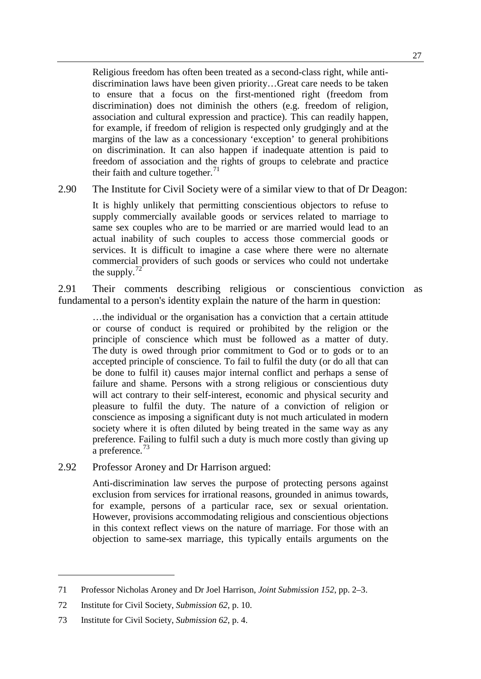Religious freedom has often been treated as a second-class right, while antidiscrimination laws have been given priority…Great care needs to be taken to ensure that a focus on the first-mentioned right (freedom from discrimination) does not diminish the others (e.g. freedom of religion, association and cultural expression and practice). This can readily happen, for example, if freedom of religion is respected only grudgingly and at the margins of the law as a concessionary 'exception' to general prohibitions on discrimination. It can also happen if inadequate attention is paid to freedom of association and the rights of groups to celebrate and practice their faith and culture together. $71$ 

2.90 The Institute for Civil Society were of a similar view to that of Dr Deagon:

It is highly unlikely that permitting conscientious objectors to refuse to supply commercially available goods or services related to marriage to same sex couples who are to be married or are married would lead to an actual inability of such couples to access those commercial goods or services. It is difficult to imagine a case where there were no alternate commercial providers of such goods or services who could not undertake the supply. $72$ 

2.91 Their comments describing religious or conscientious conviction as fundamental to a person's identity explain the nature of the harm in question:

…the individual or the organisation has a conviction that a certain attitude or course of conduct is required or prohibited by the religion or the principle of conscience which must be followed as a matter of duty. The duty is owed through prior commitment to God or to gods or to an accepted principle of conscience. To fail to fulfil the duty (or do all that can be done to fulfil it) causes major internal conflict and perhaps a sense of failure and shame. Persons with a strong religious or conscientious duty will act contrary to their self-interest, economic and physical security and pleasure to fulfil the duty. The nature of a conviction of religion or conscience as imposing a significant duty is not much articulated in modern society where it is often diluted by being treated in the same way as any preference. Failing to fulfil such a duty is much more costly than giving up a preference.<sup>[73](#page-22-2)</sup>

2.92 Professor Aroney and Dr Harrison argued:

Anti-discrimination law serves the purpose of protecting persons against exclusion from services for irrational reasons, grounded in animus towards, for example, persons of a particular race, sex or sexual orientation. However, provisions accommodating religious and conscientious objections in this context reflect views on the nature of marriage. For those with an objection to same-sex marriage, this typically entails arguments on the

<span id="page-22-0"></span><sup>71</sup> Professor Nicholas Aroney and Dr Joel Harrison, *Joint Submission 152*, pp. 2–3.

<span id="page-22-1"></span><sup>72</sup> Institute for Civil Society, *Submission 62*, p. 10.

<span id="page-22-2"></span><sup>73</sup> Institute for Civil Society, *Submission 62*, p. 4.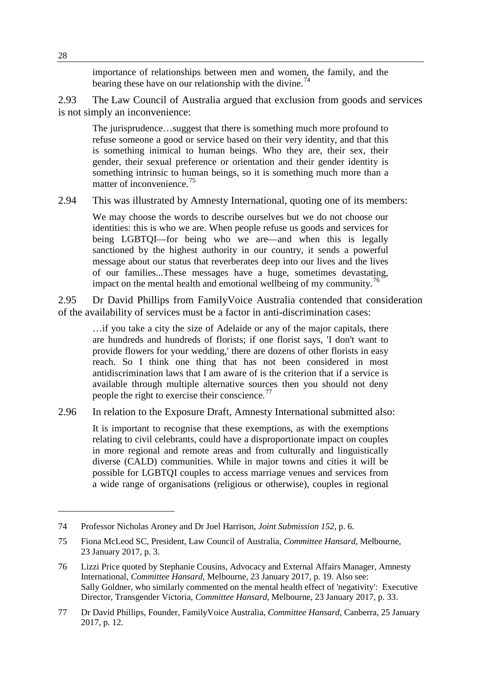importance of relationships between men and women, the family, and the bearing these have on our relationship with the divine.<sup>[74](#page-23-0)</sup>

2.93 The Law Council of Australia argued that exclusion from goods and services is not simply an inconvenience:

The jurisprudence…suggest that there is something much more profound to refuse someone a good or service based on their very identity, and that this is something inimical to human beings. Who they are, their sex, their gender, their sexual preference or orientation and their gender identity is something intrinsic to human beings, so it is something much more than a matter of inconvenience.<sup>[75](#page-23-1)</sup>

2.94 This was illustrated by Amnesty International, quoting one of its members:

We may choose the words to describe ourselves but we do not choose our identities: this is who we are. When people refuse us goods and services for being LGBTQI—for being who we are—and when this is legally sanctioned by the highest authority in our country, it sends a powerful message about our status that reverberates deep into our lives and the lives of our families...These messages have a huge, sometimes devastating, impact on the mental health and emotional wellbeing of my community.<sup>[76](#page-23-2)</sup>

2.95 Dr David Phillips from FamilyVoice Australia contended that consideration of the availability of services must be a factor in anti-discrimination cases:

…if you take a city the size of Adelaide or any of the major capitals, there are hundreds and hundreds of florists; if one florist says, 'I don't want to provide flowers for your wedding,' there are dozens of other florists in easy reach. So I think one thing that has not been considered in most antidiscrimination laws that I am aware of is the criterion that if a service is available through multiple alternative sources then you should not deny people the right to exercise their conscience.<sup>[77](#page-23-3)</sup>

2.96 In relation to the Exposure Draft, Amnesty International submitted also:

It is important to recognise that these exemptions, as with the exemptions relating to civil celebrants, could have a disproportionate impact on couples in more regional and remote areas and from culturally and linguistically diverse (CALD) communities. While in major towns and cities it will be possible for LGBTQI couples to access marriage venues and services from a wide range of organisations (religious or otherwise), couples in regional

<span id="page-23-0"></span><sup>74</sup> Professor Nicholas Aroney and Dr Joel Harrison, *Joint Submission 152*, p. 6.

<span id="page-23-1"></span><sup>75</sup> Fiona McLeod SC, President, Law Council of Australia, *Committee Hansard*, Melbourne, 23 January 2017, p. 3.

<span id="page-23-2"></span><sup>76</sup> Lizzi Price quoted by Stephanie Cousins, Advocacy and External Affairs Manager, Amnesty International, *Committee Hansard*, Melbourne, 23 January 2017, p. 19. Also see: Sally Goldner, who similarly commented on the mental health effect of 'negativity': Executive Director, Transgender Victoria, *Committee Hansard*, Melbourne, 23 January 2017, p. 33.

<span id="page-23-3"></span><sup>77</sup> Dr David Phillips, Founder, FamilyVoice Australia, *Committee Hansard*, Canberra, 25 January 2017, p. 12.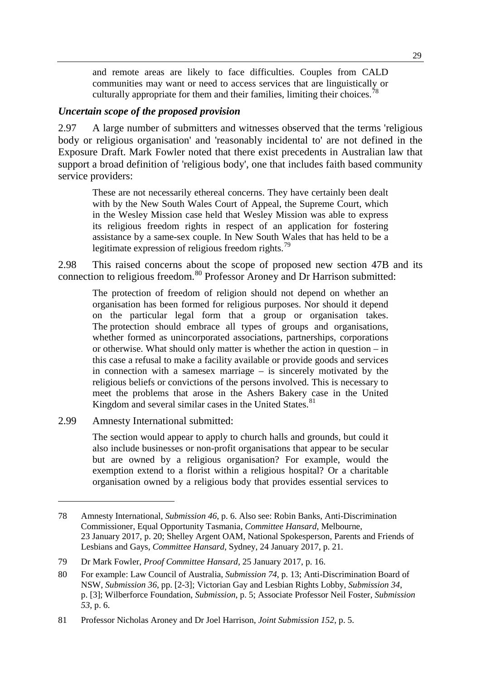and remote areas are likely to face difficulties. Couples from CALD communities may want or need to access services that are linguistically or culturally appropriate for them and their families, limiting their choices.<sup>7</sup>

#### *Uncertain scope of the proposed provision*

2.97 A large number of submitters and witnesses observed that the terms 'religious body or religious organisation' and 'reasonably incidental to' are not defined in the Exposure Draft. Mark Fowler noted that there exist precedents in Australian law that support a broad definition of 'religious body', one that includes faith based community service providers:

These are not necessarily ethereal concerns. They have certainly been dealt with by the New South Wales Court of Appeal, the Supreme Court, which in the Wesley Mission case held that Wesley Mission was able to express its religious freedom rights in respect of an application for fostering assistance by a same-sex couple. In New South Wales that has held to be a legitimate expression of religious freedom rights.<sup>79</sup>

2.98 This raised concerns about the scope of proposed new section 47B and its connection to religious freedom.<sup>[80](#page-24-2)</sup> Professor Aroney and Dr Harrison submitted:

The protection of freedom of religion should not depend on whether an organisation has been formed for religious purposes. Nor should it depend on the particular legal form that a group or organisation takes. The protection should embrace all types of groups and organisations, whether formed as unincorporated associations, partnerships, corporations or otherwise. What should only matter is whether the action in question – in this case a refusal to make a facility available or provide goods and services in connection with a samesex marriage – is sincerely motivated by the religious beliefs or convictions of the persons involved. This is necessary to meet the problems that arose in the Ashers Bakery case in the United Kingdom and several similar cases in the United States. $81$ 

2.99 Amnesty International submitted:

-

The section would appear to apply to church halls and grounds, but could it also include businesses or non-profit organisations that appear to be secular but are owned by a religious organisation? For example, would the exemption extend to a florist within a religious hospital? Or a charitable organisation owned by a religious body that provides essential services to

<span id="page-24-0"></span><sup>78</sup> Amnesty International, *Submission 46*, p. 6. Also see: Robin Banks, Anti-Discrimination Commissioner, Equal Opportunity Tasmania, *Committee Hansard*, Melbourne, 23 January 2017, p. 20; Shelley Argent OAM, National Spokesperson, Parents and Friends of Lesbians and Gays, *Committee Hansard*, Sydney, 24 January 2017, p. 21.

<span id="page-24-1"></span><sup>79</sup> Dr Mark Fowler, *Proof Committee Hansard,* 25 January 2017, p. 16.

<span id="page-24-2"></span><sup>80</sup> For example: Law Council of Australia, *Submission 74*, p. 13; Anti-Discrimination Board of NSW, *Submission 36*, pp. [2-3]; Victorian Gay and Lesbian Rights Lobby, *Submission 34*, p. [3]; Wilberforce Foundation, *Submission*, p. 5; Associate Professor Neil Foster, *Submission 53*, p. 6.

<span id="page-24-3"></span><sup>81</sup> Professor Nicholas Aroney and Dr Joel Harrison, *Joint Submission 152*, p. 5.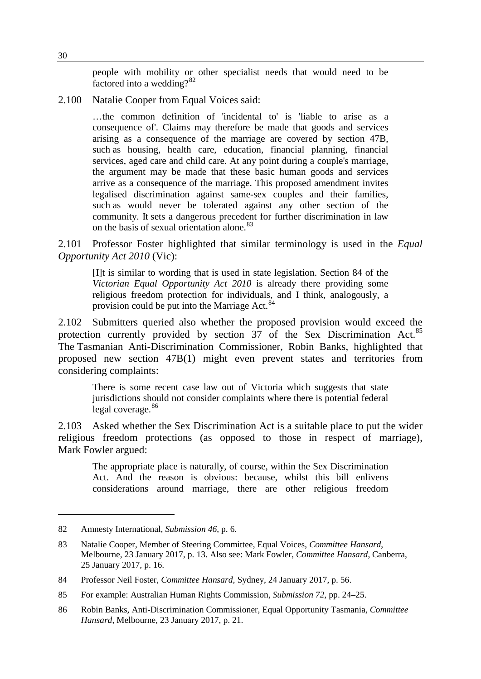people with mobility or other specialist needs that would need to be factored into a wedding? $82$ 

2.100 Natalie Cooper from Equal Voices said:

…the common definition of 'incidental to' is 'liable to arise as a consequence of'. Claims may therefore be made that goods and services arising as a consequence of the marriage are covered by section 47B, such as housing, health care, education, financial planning, financial services, aged care and child care. At any point during a couple's marriage, the argument may be made that these basic human goods and services arrive as a consequence of the marriage. This proposed amendment invites legalised discrimination against same-sex couples and their families, such as would never be tolerated against any other section of the community. It sets a dangerous precedent for further discrimination in law on the basis of sexual orientation alone.<sup>[83](#page-25-1)</sup>

2.101 Professor Foster highlighted that similar terminology is used in the *Equal Opportunity Act 2010* (Vic):

[I]t is similar to wording that is used in state legislation. Section 84 of the *Victorian Equal Opportunity Act 2010* is already there providing some religious freedom protection for individuals, and I think, analogously, a provision could be put into the Marriage Act.<sup>[84](#page-25-2)</sup>

2.102 Submitters queried also whether the proposed provision would exceed the protection currently provided by section 37 of the Sex Discrimination Act.<sup>[85](#page-25-3)</sup> The Tasmanian Anti-Discrimination Commissioner, Robin Banks, highlighted that proposed new section 47B(1) might even prevent states and territories from considering complaints:

There is some recent case law out of Victoria which suggests that state jurisdictions should not consider complaints where there is potential federal legal coverage.<sup>[86](#page-25-4)</sup>

2.103 Asked whether the Sex Discrimination Act is a suitable place to put the wider religious freedom protections (as opposed to those in respect of marriage), Mark Fowler argued:

The appropriate place is naturally, of course, within the Sex Discrimination Act. And the reason is obvious: because, whilst this bill enlivens considerations around marriage, there are other religious freedom

<span id="page-25-0"></span><sup>82</sup> Amnesty International, *Submission 46*, p. 6.

<span id="page-25-1"></span><sup>83</sup> Natalie Cooper, Member of Steering Committee, Equal Voices, *Committee Hansard*, Melbourne, 23 January 2017, p. 13. Also see: Mark Fowler, *Committee Hansard*, Canberra, 25 January 2017, p. 16.

<span id="page-25-2"></span><sup>84</sup> Professor Neil Foster, *Committee Hansard*, Sydney, 24 January 2017, p. 56.

<span id="page-25-3"></span><sup>85</sup> For example: Australian Human Rights Commission, *Submission 72*, pp. 24–25.

<span id="page-25-4"></span><sup>86</sup> Robin Banks, Anti-Discrimination Commissioner, Equal Opportunity Tasmania, *Committee Hansard*, Melbourne, 23 January 2017, p. 21.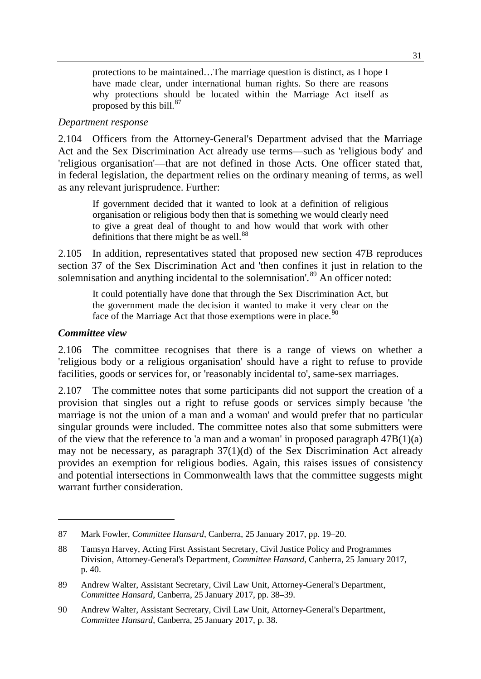protections to be maintained…The marriage question is distinct, as I hope I have made clear, under international human rights. So there are reasons why protections should be located within the Marriage Act itself as proposed by this bill. $87$ 

#### *Department response*

2.104 Officers from the Attorney-General's Department advised that the Marriage Act and the Sex Discrimination Act already use terms—such as 'religious body' and 'religious organisation'—that are not defined in those Acts. One officer stated that, in federal legislation, the department relies on the ordinary meaning of terms, as well as any relevant jurisprudence. Further:

If government decided that it wanted to look at a definition of religious organisation or religious body then that is something we would clearly need to give a great deal of thought to and how would that work with other definitions that there might be as well.<sup>[88](#page-26-1)</sup>

2.105 In addition, representatives stated that proposed new section 47B reproduces section 37 of the Sex Discrimination Act and 'then confines it just in relation to the solemnisation and anything incidental to the solemnisation'.<sup>[89](#page-26-2)</sup> An officer noted:

It could potentially have done that through the Sex Discrimination Act, but the government made the decision it wanted to make it very clear on the face of the Marriage Act that those exemptions were in place.<sup>50</sup>

#### *Committee view*

-

2.106 The committee recognises that there is a range of views on whether a 'religious body or a religious organisation' should have a right to refuse to provide facilities, goods or services for, or 'reasonably incidental to', same-sex marriages.

2.107 The committee notes that some participants did not support the creation of a provision that singles out a right to refuse goods or services simply because 'the marriage is not the union of a man and a woman' and would prefer that no particular singular grounds were included. The committee notes also that some submitters were of the view that the reference to 'a man and a woman' in proposed paragraph 47B(1)(a) may not be necessary, as paragraph 37(1)(d) of the Sex Discrimination Act already provides an exemption for religious bodies. Again, this raises issues of consistency and potential intersections in Commonwealth laws that the committee suggests might warrant further consideration

<span id="page-26-0"></span><sup>87</sup> Mark Fowler, *Committee Hansard*, Canberra, 25 January 2017, pp. 19–20.

<span id="page-26-1"></span><sup>88</sup> Tamsyn Harvey, Acting First Assistant Secretary, Civil Justice Policy and Programmes Division, Attorney-General's Department, *Committee Hansard*, Canberra, 25 January 2017, p. 40.

<span id="page-26-2"></span><sup>89</sup> Andrew Walter, Assistant Secretary, Civil Law Unit, Attorney-General's Department, *Committee Hansard*, Canberra, 25 January 2017, pp. 38–39.

<span id="page-26-3"></span><sup>90</sup> Andrew Walter, Assistant Secretary, Civil Law Unit, Attorney-General's Department, *Committee Hansard*, Canberra, 25 January 2017, p. 38.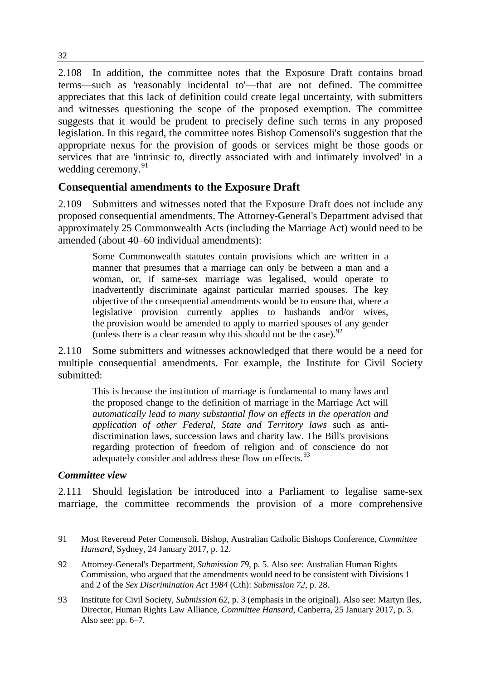2.108 In addition, the committee notes that the Exposure Draft contains broad terms—such as 'reasonably incidental to'—that are not defined. The committee appreciates that this lack of definition could create legal uncertainty, with submitters and witnesses questioning the scope of the proposed exemption. The committee suggests that it would be prudent to precisely define such terms in any proposed legislation. In this regard, the committee notes Bishop Comensoli's suggestion that the appropriate nexus for the provision of goods or services might be those goods or services that are 'intrinsic to, directly associated with and intimately involved' in a wedding ceremony.<sup>[91](#page-27-0)</sup>

# **Consequential amendments to the Exposure Draft**

2.109 Submitters and witnesses noted that the Exposure Draft does not include any proposed consequential amendments. The Attorney-General's Department advised that approximately 25 Commonwealth Acts (including the Marriage Act) would need to be amended (about 40–60 individual amendments):

Some Commonwealth statutes contain provisions which are written in a manner that presumes that a marriage can only be between a man and a woman, or, if same-sex marriage was legalised, would operate to inadvertently discriminate against particular married spouses. The key objective of the consequential amendments would be to ensure that, where a legislative provision currently applies to husbands and/or wives, the provision would be amended to apply to married spouses of any gender (unless there is a clear reason why this should not be the case).  $92$ 

2.110 Some submitters and witnesses acknowledged that there would be a need for multiple consequential amendments. For example, the Institute for Civil Society submitted:

This is because the institution of marriage is fundamental to many laws and the proposed change to the definition of marriage in the Marriage Act will *automatically lead to many substantial flow on effects in the operation and application of other Federal, State and Territory laws* such as antidiscrimination laws, succession laws and charity law. The Bill's provisions regarding protection of freedom of religion and of conscience do not adequately consider and address these flow on effects.<sup>[93](#page-27-2)</sup>

#### *Committee view*

-

2.111 Should legislation be introduced into a Parliament to legalise same-sex marriage, the committee recommends the provision of a more comprehensive

<span id="page-27-0"></span><sup>91</sup> Most Reverend Peter Comensoli, Bishop, Australian Catholic Bishops Conference, *Committee Hansard*, Sydney, 24 January 2017, p. 12.

<span id="page-27-1"></span><sup>92</sup> Attorney-General's Department*, Submission 79*, p. 5. Also see: Australian Human Rights Commission, who argued that the amendments would need to be consistent with Divisions 1 and 2 of the *Sex Discrimination Act 1984* (Cth): *Submission 72*, p. 28.

<span id="page-27-2"></span><sup>93</sup> Institute for Civil Society, *Submission 62*, p. 3 (emphasis in the original). Also see: Martyn Iles, Director, Human Rights Law Alliance, *Committee Hansard*, Canberra, 25 January 2017, p. 3. Also see: pp. 6–7.